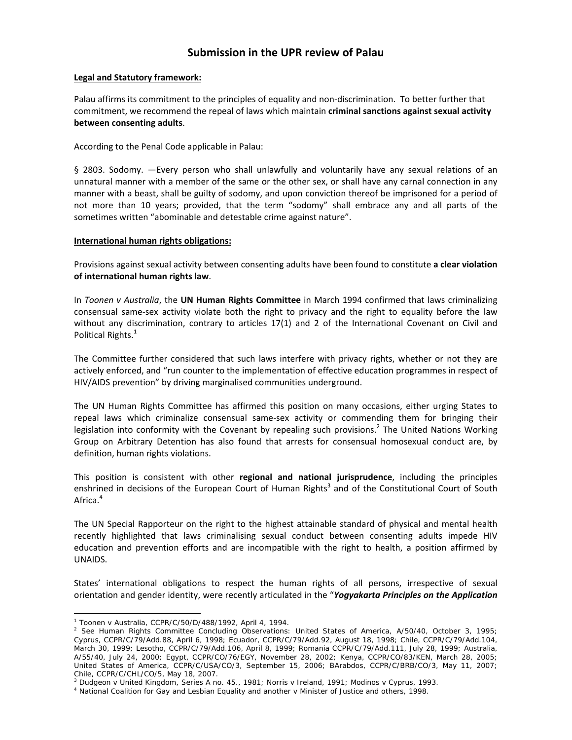# **Submission in the UPR review of Palau**

## **Legal and Statutory framework:**

Palau affirms its commitment to the principles of equality and non‐discrimination. To better further that commitment, we recommend the repeal of laws which maintain **criminal sanctions against sexual activity between consenting adults**.

According to the Penal Code applicable in Palau:

§ 2803. Sodomy. —Every person who shall unlawfully and voluntarily have any sexual relations of an unnatural manner with a member of the same or the other sex, or shall have any carnal connection in any manner with a beast, shall be guilty of sodomy, and upon conviction thereof be imprisoned for a period of not more than 10 years; provided, that the term "sodomy" shall embrace any and all parts of the sometimes written "abominable and detestable crime against nature".

### **International human rights obligations:**

Provisions against sexual activity between consenting adults have been found to constitute **a clear violation of international human rights law**.

In *Toonen v Australia*, the **UN Human Rights Committee** in March 1994 confirmed that laws criminalizing consensual same‐sex activity violate both the right to privacy and the right to equality before the law without any discrimination, contrary to articles 17(1) and 2 of the International Covenant on Civil and Political Rights.<sup>1</sup>

The Committee further considered that such laws interfere with privacy rights, whether or not they are actively enforced, and "run counter to the implementation of effective education programmes in respect of HIV/AIDS prevention" by driving marginalised communities underground.

The UN Human Rights Committee has affirmed this position on many occasions, either urging States to repeal laws which criminalize consensual same‐sex activity or commending them for bringing their legislation into conformity with the Covenant by repealing such provisions.<sup>2</sup> The United Nations Working Group on Arbitrary Detention has also found that arrests for consensual homosexual conduct are, by definition, human rights violations.

This position is consistent with other **regional and national jurisprudence**, including the principles enshrined in decisions of the European Court of Human Rights<sup>3</sup> and of the Constitutional Court of South Africa.<sup>4</sup>

The UN Special Rapporteur on the right to the highest attainable standard of physical and mental health recently highlighted that laws criminalising sexual conduct between consenting adults impede HIV education and prevention efforts and are incompatible with the right to health, a position affirmed by UNAIDS.

States' international obligations to respect the human rights of all persons, irrespective of sexual orientation and gender identity, were recently articulated in the "*Yogyakarta Principles on the Application*

 $\overline{a}$ 

<sup>1</sup> *Toonen* v *Australia*, CCPR/C/50/D/488/1992, April 4, 1994. 2

 $^2$  See Human Rights Committee Concluding Observations: United States of America, A/50/40, October 3, 1995; Cyprus, CCPR/C/79/Add.88, April 6, 1998; Ecuador, CCPR/C/79/Add.92, August 18, 1998; Chile, CCPR/C/79/Add.104, March 30, 1999; Lesotho, CCPR/C/79/Add.106, April 8, 1999; Romania CCPR/C/79/Add.111, July 28, 1999; Australia, A/55/40, July 24, 2000; Egypt, CCPR/CO/76/EGY, November 28, 2002; Kenya, CCPR/CO/83/KEN, March 28, 2005; United States of America, CCPR/C/USA/CO/3, September 15, 2006; BArabdos, CCPR/C/BRB/CO/3, May 11, 2007; Chile, CCPR/C/CHL/CO/5, May 18, 2007.

<sup>&</sup>lt;sup>3</sup> Dudgeon v United Kingdom, Series A no. 45., 1981; Norris v Ireland, 1991; Modinos v Cyprus, 1993.<br><sup>4</sup> National Coalition for Gay and Lesbian Equality and another v Minister of Justice and others, 1998.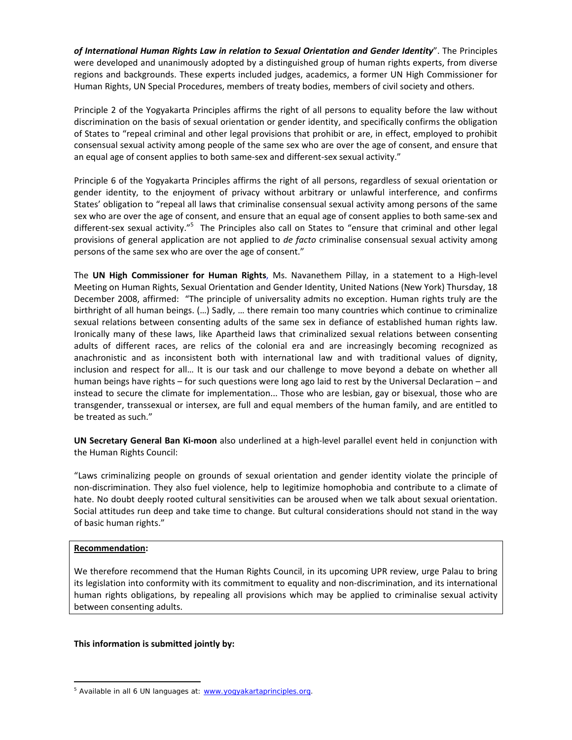*of International Human Rights Law in relation to Sexual Orientation and Gender Identity*". The Principles were developed and unanimously adopted by a distinguished group of human rights experts, from diverse regions and backgrounds. These experts included judges, academics, a former UN High Commissioner for Human Rights, UN Special Procedures, members of treaty bodies, members of civil society and others.

Principle 2 of the Yogyakarta Principles affirms the right of all persons to equality before the law without discrimination on the basis of sexual orientation or gender identity, and specifically confirms the obligation of States to "repeal criminal and other legal provisions that prohibit or are, in effect, employed to prohibit consensual sexual activity among people of the same sex who are over the age of consent, and ensure that an equal age of consent applies to both same‐sex and different‐sex sexual activity."

Principle 6 of the Yogyakarta Principles affirms the right of all persons, regardless of sexual orientation or gender identity, to the enjoyment of privacy without arbitrary or unlawful interference, and confirms States' obligation to "repeal all laws that criminalise consensual sexual activity among persons of the same sex who are over the age of consent, and ensure that an equal age of consent applies to both same-sex and different-sex sexual activity."<sup>5</sup> The Principles also call on States to "ensure that criminal and other legal provisions of general application are not applied to *de facto* criminalise consensual sexual activity among persons of the same sex who are over the age of consent."

The **UN High Commissioner for Human Rights**, Ms. Navanethem Pillay, in a statement to a High‐level Meeting on Human Rights, Sexual Orientation and Gender Identity, United Nations (New York) Thursday, 18 December 2008, affirmed: "The principle of universality admits no exception. Human rights truly are the birthright of all human beings. (…) Sadly, … there remain too many countries which continue to criminalize sexual relations between consenting adults of the same sex in defiance of established human rights law. Ironically many of these laws, like Apartheid laws that criminalized sexual relations between consenting adults of different races, are relics of the colonial era and are increasingly becoming recognized as anachronistic and as inconsistent both with international law and with traditional values of dignity, inclusion and respect for all… It is our task and our challenge to move beyond a debate on whether all human beings have rights – for such questions were long ago laid to rest by the Universal Declaration – and instead to secure the climate for implementation... Those who are lesbian, gay or bisexual, those who are transgender, transsexual or intersex, are full and equal members of the human family, and are entitled to be treated as such."

**UN Secretary General Ban Ki‐moon** also underlined at a high‐level parallel event held in conjunction with the Human Rights Council:

"Laws criminalizing people on grounds of sexual orientation and gender identity violate the principle of non‐discrimination. They also fuel violence, help to legitimize homophobia and contribute to a climate of hate. No doubt deeply rooted cultural sensitivities can be aroused when we talk about sexual orientation. Social attitudes run deep and take time to change. But cultural considerations should not stand in the way of basic human rights."

## **Recommendation:**

 $\overline{a}$ 

We therefore recommend that the Human Rights Council, in its upcoming UPR review, urge Palau to bring its legislation into conformity with its commitment to equality and non‐discrimination, and its international human rights obligations, by repealing all provisions which may be applied to criminalise sexual activity between consenting adults.

#### **This information is submitted jointly by:**

<sup>&</sup>lt;sup>5</sup> Available in all 6 UN languages at: www.yogyakartaprinciples.org.